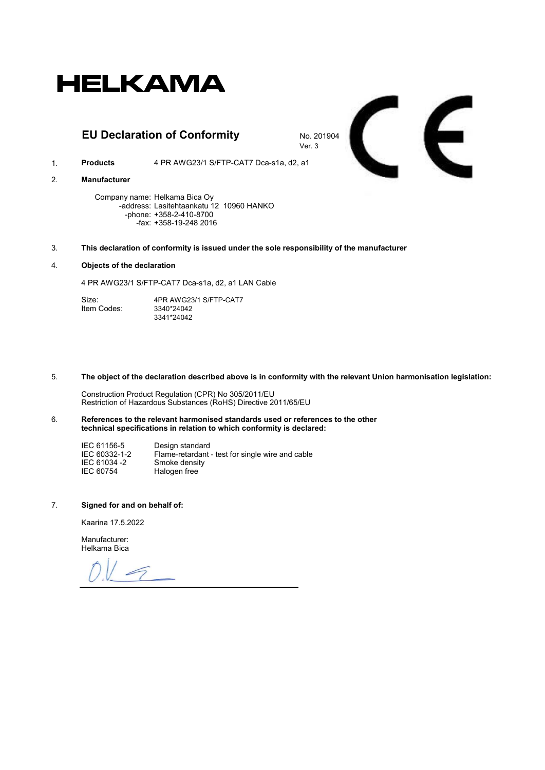

# EU Declaration of Conformity No. 201904

Ver. 3

E

 $\mathcal{L}$ 

1. Products 4 PR AWG23/1 S/FTP-CAT7 Dca-s1a, d2, a1

### 2. Manufacturer

Company name: Helkama Bica Oy -address: Lasitehtaankatu 12 10960 HANKO -phone: +358-2-410-8700 -fax: +358-19-248 2016

3. This declaration of conformity is issued under the sole responsibility of the manufacturer

## 4. Objects of the declaration

4 PR AWG23/1 S/FTP-CAT7 Dca-s1a, d2, a1 LAN Cable

Size: 4PR AWG23/1 S/FTP-CAT7<br>Item Codes: 3340\*24042 Item Codes: 3341\*24042

## 5. The object of the declaration described above is in conformity with the relevant Union harmonisation legislation:

Construction Product Regulation (CPR) No 305/2011/EU Restriction of Hazardous Substances (RoHS) Directive 2011/65/EU

6. References to the relevant harmonised standards used or references to the other technical specifications in relation to which conformity is declared:

| IEC 61156-5   | Design standard                                  |
|---------------|--------------------------------------------------|
| IEC 60332-1-2 | Flame-retardant - test for single wire and cable |
| IEC 61034 -2  | Smoke density                                    |
| IEC 60754     | Halogen free                                     |

## 7. Signed for and on behalf of:

Kaarina 17.5.2022

Manufacturer: Helkama Bica

 $\sqrt{ }$